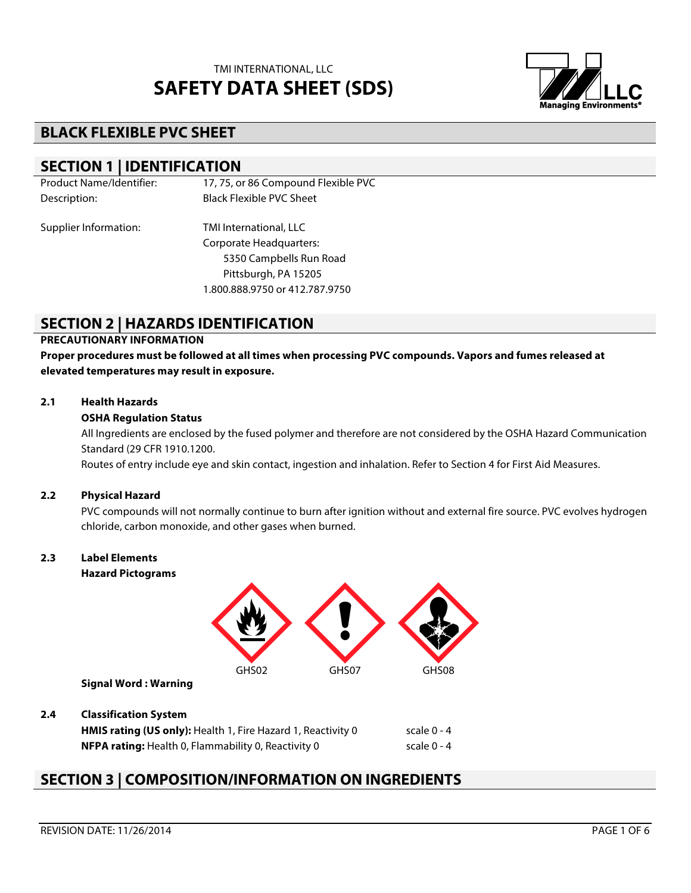

# **BLACK FLEXIBLE PVC SHEET**

## **SECTION 1 | IDENTIFICATION**

| <b>Product Name/Identifier:</b> | 17, 75, or 86 Compound Flexible PVC |
|---------------------------------|-------------------------------------|
| Description:                    | <b>Black Flexible PVC Sheet</b>     |
| Supplier Information:           | TMI International, LLC              |
|                                 | Corporate Headquarters:             |
|                                 | 5350 Campbells Run Road             |
|                                 | Pittsburgh, PA 15205                |
|                                 | 1.800.888.9750 or 412.787.9750      |

## **SECTION 2 | HAZARDS IDENTIFICATION**

### **PRECAUTIONARY INFORMATION**

**Proper procedures must be followed at all times when processing PVC compounds. Vapors and fumes released at elevated temperatures may result in exposure.**

#### **2.1 Health Hazards**

#### **OSHA Regulation Status**

All Ingredients are enclosed by the fused polymer and therefore are not considered by the OSHA Hazard Communication Standard (29 CFR 1910.1200.

Routes of entry include eye and skin contact, ingestion and inhalation. Refer to Section 4 for First Aid Measures.

#### **2.2 Physical Hazard**

PVC compounds will not normally continue to burn after ignition without and external fire source. PVC evolves hydrogen chloride, carbon monoxide, and other gases when burned.

## **2.3 Label Elements**

**Hazard Pictograms**



**Signal Word : Warning**

#### **2.4 Classification System**

**HMIS rating (US only):** Health 1, Fire Hazard 1, Reactivity 0 scale 0 - 4 **NFPA rating:** Health 0, Flammability 0, Reactivity 0 scale 0 - 4

## **SECTION 3 | COMPOSITION/INFORMATION ON INGREDIENTS**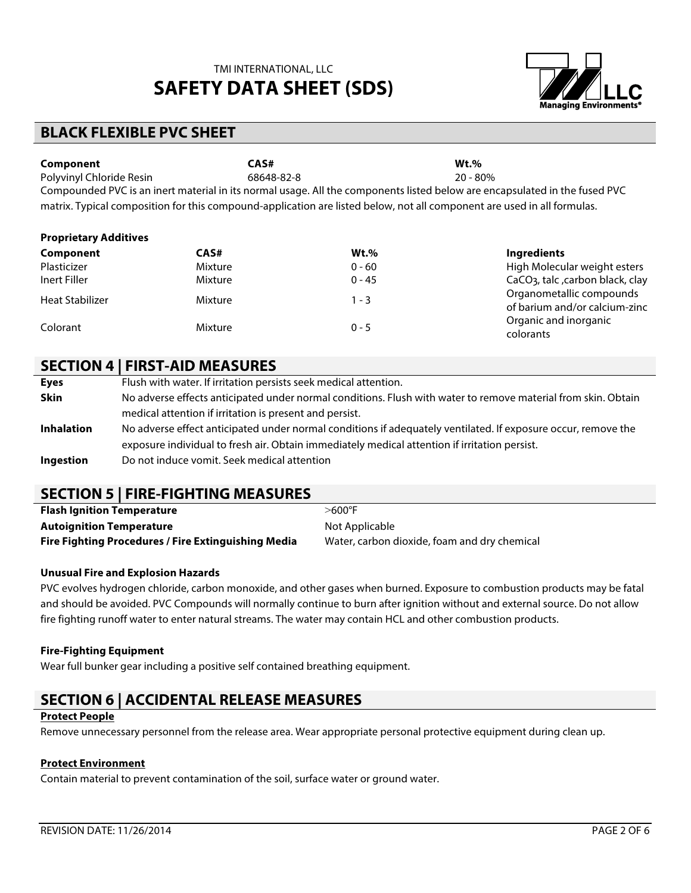

## **BLACK FLEXIBLE PVC SHEET**

| Component                                                                                                                  | CAS#       | $Wt.$ %    |  |
|----------------------------------------------------------------------------------------------------------------------------|------------|------------|--|
| Polyvinyl Chloride Resin                                                                                                   | 68648-82-8 | $20 - 80%$ |  |
| Compounded PVC is an inert material in its normal usage. All the components listed below are encapsulated in the fused PVC |            |            |  |
| matrix. Typical composition for this compound-application are listed below, not all component are used in all formulas.    |            |            |  |

| <b>Proprietary Additives</b> |         |          |                                                                                                 |
|------------------------------|---------|----------|-------------------------------------------------------------------------------------------------|
| Component                    | CAS#    | $Wt.$ %  | <b>Ingredients</b>                                                                              |
| Plasticizer                  | Mixture | $0 - 60$ | High Molecular weight esters                                                                    |
| Inert Filler                 | Mixture | $0 - 45$ | CaCO <sub>3</sub> , talc , carbon black, clay                                                   |
| <b>Heat Stabilizer</b>       | Mixture | $1 - 3$  | Organometallic compounds<br>of barium and/or calcium-zinc<br>Organic and inorganic<br>colorants |
| Colorant                     | Mixture | $0 - 5$  |                                                                                                 |

## **SECTION 4 | FIRST-AID MEASURES**

| Flush with water. If irritation persists seek medical attention.<br><b>Eyes</b>                                                    |  |
|------------------------------------------------------------------------------------------------------------------------------------|--|
| <b>Skin</b><br>No adverse effects anticipated under normal conditions. Flush with water to remove material from skin. Obtain       |  |
| medical attention if irritation is present and persist.                                                                            |  |
| No adverse effect anticipated under normal conditions if adequately ventilated. If exposure occur, remove the<br><b>Inhalation</b> |  |
| exposure individual to fresh air. Obtain immediately medical attention if irritation persist.                                      |  |
| Do not induce vomit. Seek medical attention<br>Ingestion                                                                           |  |

## **SECTION 5 | FIRE-FIGHTING MEASURES**

| <b>Flash Ignition Temperature</b>                          | $>600^\circ$ F                               |
|------------------------------------------------------------|----------------------------------------------|
| <b>Autoignition Temperature</b>                            | Not Applicable                               |
| <b>Fire Fighting Procedures / Fire Extinguishing Media</b> | Water, carbon dioxide, foam and dry chemical |

### **Unusual Fire and Explosion Hazards**

PVC evolves hydrogen chloride, carbon monoxide, and other gases when burned. Exposure to combustion products may be fatal and should be avoided. PVC Compounds will normally continue to burn after ignition without and external source. Do not allow fire fighting runoff water to enter natural streams. The water may contain HCL and other combustion products.

#### **Fire-Fighting Equipment**

Wear full bunker gear including a positive self contained breathing equipment.

# **SECTION 6 | ACCIDENTAL RELEASE MEASURES**

### **Protect People**

Remove unnecessary personnel from the release area. Wear appropriate personal protective equipment during clean up.

#### **Protect Environment**

Contain material to prevent contamination of the soil, surface water or ground water.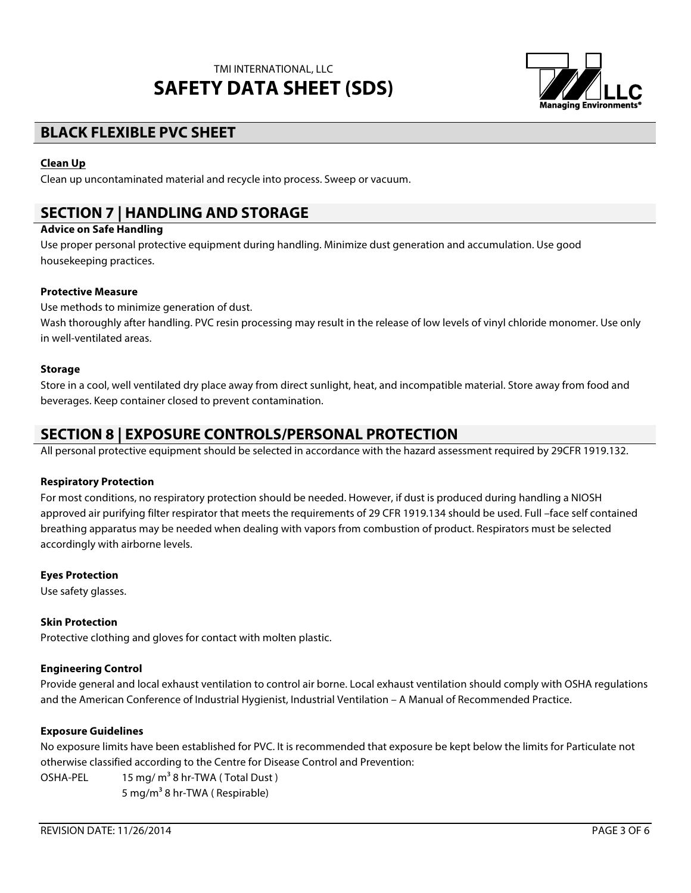

# **BLACK FLEXIBLE PVC SHEET**

### **Clean Up**

Clean up uncontaminated material and recycle into process. Sweep or vacuum.

# **SECTION 7 | HANDLING AND STORAGE**

### **Advice on Safe Handling**

Use proper personal protective equipment during handling. Minimize dust generation and accumulation. Use good housekeeping practices.

### **Protective Measure**

Use methods to minimize generation of dust.

Wash thoroughly after handling. PVC resin processing may result in the release of low levels of vinyl chloride monomer. Use only in well-ventilated areas.

### **Storage**

Store in a cool, well ventilated dry place away from direct sunlight, heat, and incompatible material. Store away from food and beverages. Keep container closed to prevent contamination.

## **SECTION 8 | EXPOSURE CONTROLS/PERSONAL PROTECTION**

All personal protective equipment should be selected in accordance with the hazard assessment required by 29CFR 1919.132.

#### **Respiratory Protection**

For most conditions, no respiratory protection should be needed. However, if dust is produced during handling a NIOSH approved air purifying filter respirator that meets the requirements of 29 CFR 1919.134 should be used. Full –face self contained breathing apparatus may be needed when dealing with vapors from combustion of product. Respirators must be selected accordingly with airborne levels.

### **Eyes Protection**

Use safety glasses.

#### **Skin Protection**

Protective clothing and gloves for contact with molten plastic.

### **Engineering Control**

Provide general and local exhaust ventilation to control air borne. Local exhaust ventilation should comply with OSHA regulations and the American Conference of Industrial Hygienist, Industrial Ventilation – A Manual of Recommended Practice.

#### **Exposure Guidelines**

No exposure limits have been established for PVC. It is recommended that exposure be kept below the limits for Particulate not otherwise classified according to the Centre for Disease Control and Prevention:

OSHA-PEL  $15 \text{ mg/m}^3$  8 hr-TWA (Total Dust) 5 mg/m<sup>3</sup> 8 hr-TWA ( Respirable)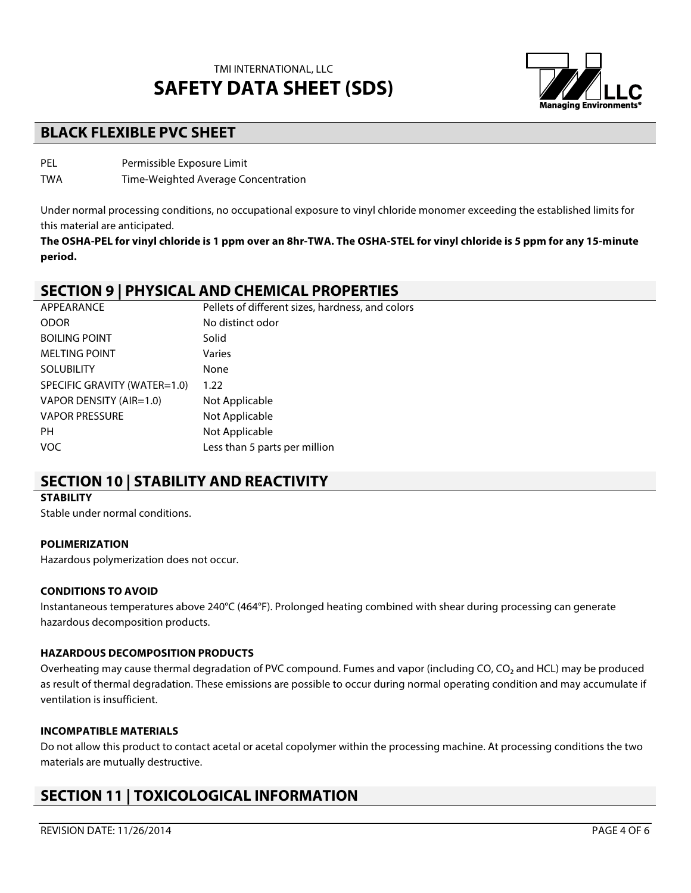

# **BLACK FLEXIBLE PVC SHEET**

PEL Permissible Exposure Limit

TWA Time-Weighted Average Concentration

Under normal processing conditions, no occupational exposure to vinyl chloride monomer exceeding the established limits for this material are anticipated.

**The OSHA-PEL for vinyl chloride is 1 ppm over an 8hr-TWA. The OSHA-STEL for vinyl chloride is 5 ppm for any 15-minute period.**

## **SECTION 9 | PHYSICAL AND CHEMICAL PROPERTIES**

| APPEARANCE                   | Pellets of different sizes, hardness, and colors |
|------------------------------|--------------------------------------------------|
| <b>ODOR</b>                  | No distinct odor                                 |
| <b>BOILING POINT</b>         | Solid                                            |
| <b>MELTING POINT</b>         | Varies                                           |
| <b>SOLUBILITY</b>            | None                                             |
| SPECIFIC GRAVITY (WATER=1.0) | 1.22                                             |
| VAPOR DENSITY (AIR=1.0)      | Not Applicable                                   |
| <b>VAPOR PRESSURE</b>        | Not Applicable                                   |
| <b>PH</b>                    | Not Applicable                                   |
| <b>VOC</b>                   | Less than 5 parts per million                    |
|                              |                                                  |

## **SECTION 10 | STABILITY AND REACTIVITY**

### **STABILITY**

Stable under normal conditions.

### **POLIMERIZATION**

Hazardous polymerization does not occur.

### **CONDITIONS TO AVOID**

Instantaneous temperatures above 240°C (464°F). Prolonged heating combined with shear during processing can generate hazardous decomposition products.

### **HAZARDOUS DECOMPOSITION PRODUCTS**

Overheating may cause thermal degradation of PVC compound. Fumes and vapor (including CO, CO<sub>2</sub> and HCL) may be produced as result of thermal degradation. These emissions are possible to occur during normal operating condition and may accumulate if ventilation is insufficient.

### **INCOMPATIBLE MATERIALS**

Do not allow this product to contact acetal or acetal copolymer within the processing machine. At processing conditions the two materials are mutually destructive.

# **SECTION 11 | TOXICOLOGICAL INFORMATION**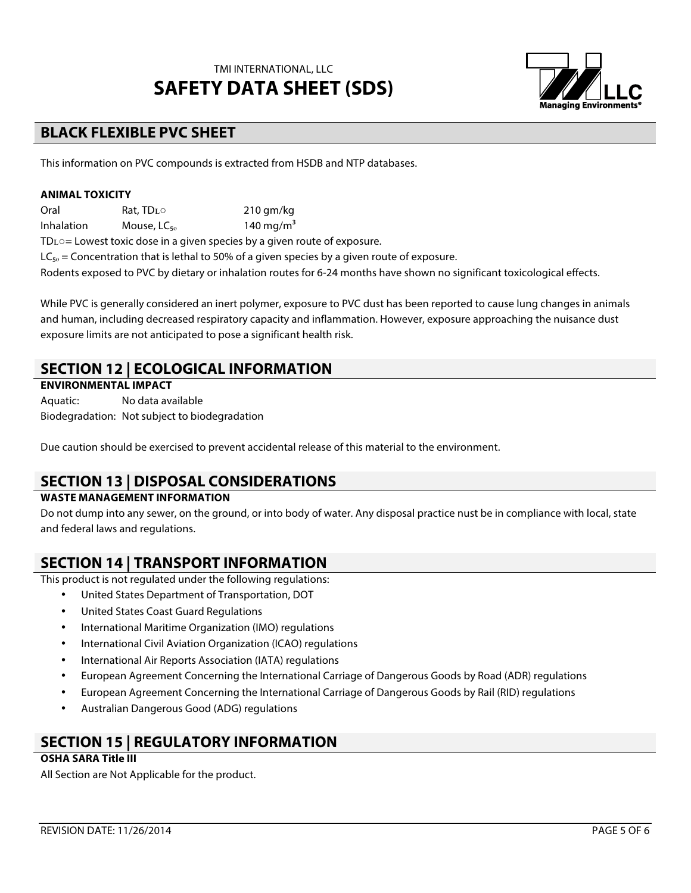

# **BLACK FLEXIBLE PVC SHEET**

This information on PVC compounds is extracted from HSDB and NTP databases.

#### **ANIMAL TOXICITY**

Oral Rat, TDʟ○ 210 gm/kg Inhalation Mouse,  $LC_{\epsilon_0}$  140 mg/m<sup>3</sup>

TDʟ○= Lowest toxic dose in a given species by a given route of exposure.

 $LC_{50}$  = Concentration that is lethal to 50% of a given species by a given route of exposure.

Rodents exposed to PVC by dietary or inhalation routes for 6-24 months have shown no significant toxicological effects.

While PVC is generally considered an inert polymer, exposure to PVC dust has been reported to cause lung changes in animals and human, including decreased respiratory capacity and inflammation. However, exposure approaching the nuisance dust exposure limits are not anticipated to pose a significant health risk.

## **SECTION 12 | ECOLOGICAL INFORMATION**

### **ENVIRONMENTAL IMPACT**

Aquatic: No data available Biodegradation: Not subject to biodegradation

Due caution should be exercised to prevent accidental release of this material to the environment.

## **SECTION 13 | DISPOSAL CONSIDERATIONS**

### **WASTE MANAGEMENT INFORMATION**

Do not dump into any sewer, on the ground, or into body of water. Any disposal practice nust be in compliance with local, state and federal laws and regulations.

## **SECTION 14 | TRANSPORT INFORMATION**

This product is not regulated under the following regulations:

- United States Department of Transportation, DOT
- United States Coast Guard Regulations
- International Maritime Organization (IMO) regulations
- International Civil Aviation Organization (ICAO) regulations
- International Air Reports Association (IATA) regulations
- European Agreement Concerning the International Carriage of Dangerous Goods by Road (ADR) regulations
- European Agreement Concerning the International Carriage of Dangerous Goods by Rail (RID) regulations
- Australian Dangerous Good (ADG) regulations

## **SECTION 15 | REGULATORY INFORMATION**

### **OSHA SARA Title III**

All Section are Not Applicable for the product.